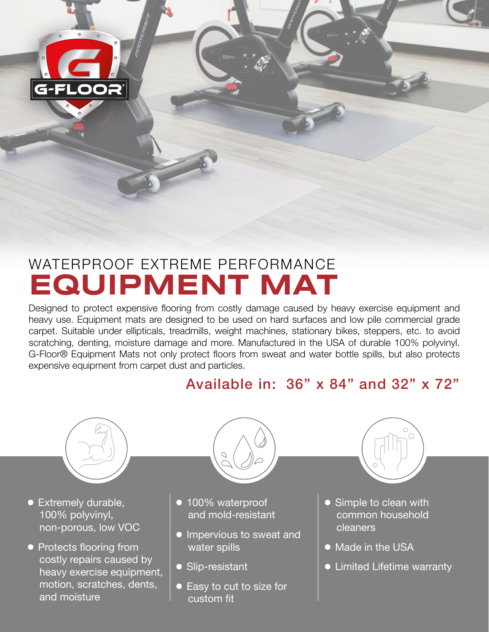

# WATERPROOF EXTREME PERFORMANCE **EQUIPMENT MAT**

Designed to protect expensive flooring from costly damage caused by heavy exercise equipment and heavy use. Equipment mats are designed to be used on hard surfaces and low pile commercial grade carpet. Suitable under ellipticals, treadmills, weight machines, stationary bikes, steppers, etc. to avoid scratching, denting, moisture damage and more. Manufactured in the USA of durable 100% polyvinyl. G-Floor® Equipment Mats not only protect floors from sweat and water bottle spills, but also protects expensive equipment from carpet dust and particles.

## Available in: 36" x 84" and 32" x 72"



- Extremely durable, 100% polyvinyl, non-porous, low VOC
- Protects flooring from costly repairs caused by heavy exercise equipment, motion, scratches, dents, and moisture

- 100% waterproof and mold-resistant
- Impervious to sweat and water spills
- Slip-resistant
- Easy to cut to size for custom fit



- Simple to clean with common household cleaners
- Made in the USA
- Limited Lifetime warranty